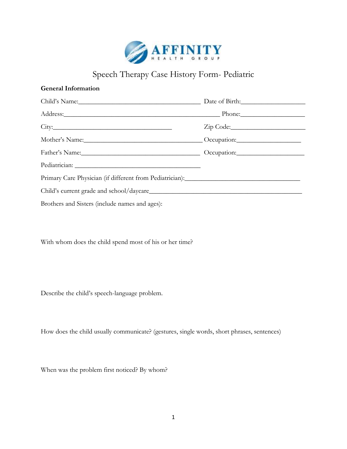

## Speech Therapy Case History Form- Pediatric

## **General Information**

| Child's Name: Name and South Allen Child's Name and South Allen Child's Name and South Allen Child                                                                                                                             |  |  |
|--------------------------------------------------------------------------------------------------------------------------------------------------------------------------------------------------------------------------------|--|--|
| Address: Phone: Phone: Phone: Phone: Phone: Phone: Phone: Phone: Phone: Phone: Phone: Phone: Phone: Phone: Phone: Phone: Phone: Phone: Phone: Phone: Phone: Phone: Phone: Phone: Phone: Phone: Phone: Phone: Phone: Phone: Pho |  |  |
| City:                                                                                                                                                                                                                          |  |  |
|                                                                                                                                                                                                                                |  |  |
| Father's Name: Comparison: Comparison: Comparison:                                                                                                                                                                             |  |  |
|                                                                                                                                                                                                                                |  |  |
|                                                                                                                                                                                                                                |  |  |
|                                                                                                                                                                                                                                |  |  |
| Brothers and Sisters (include names and ages):                                                                                                                                                                                 |  |  |

With whom does the child spend most of his or her time?

Describe the child's speech-language problem.

How does the child usually communicate? (gestures, single words, short phrases, sentences)

When was the problem first noticed? By whom?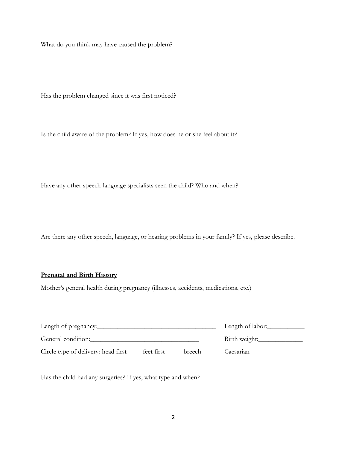What do you think may have caused the problem?

Has the problem changed since it was first noticed?

Is the child aware of the problem? If yes, how does he or she feel about it?

Have any other speech-language specialists seen the child? Who and when?

Are there any other speech, language, or hearing problems in your family? If yes, please describe.

## **Prenatal and Birth History**

Mother's general health during pregnancy (illnesses, accidents, medications, etc.)

|                                     |            |        | Length of labor: |
|-------------------------------------|------------|--------|------------------|
| General condition:                  |            |        | Birth weight:    |
| Circle type of delivery: head first | feet first | breech | Caesarian        |

Has the child had any surgeries? If yes, what type and when?